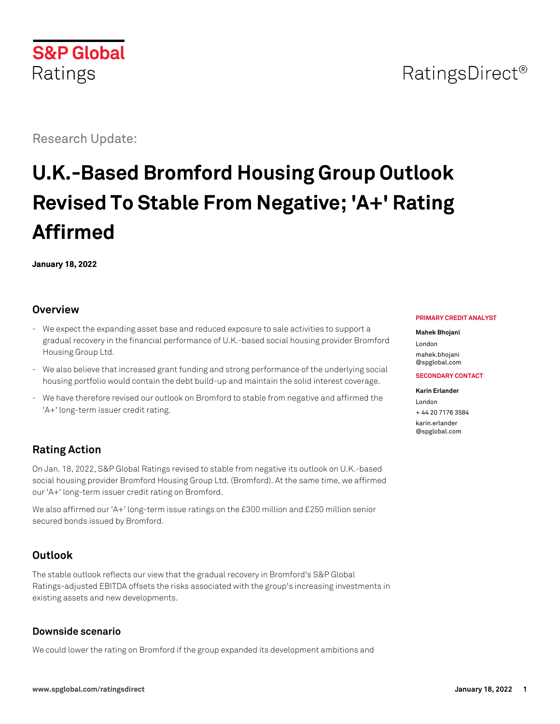## **S&P Global** Ratings

Research Update:

# **U.K.-Based Bromford Housing Group Outlook Revised To Stable From Negative; 'A+' Rating Affirmed**

**January 18, 2022**

## **Overview**

- We expect the expanding asset base and reduced exposure to sale activities to support a gradual recovery in the financial performance of U.K.-based social housing provider Bromford Housing Group Ltd.
- We also believe that increased grant funding and strong performance of the underlying social housing portfolio would contain the debt build-up and maintain the solid interest coverage.
- We have therefore revised our outlook on Bromford to stable from negative and affirmed the 'A+' long-term issuer credit rating.

## **Rating Action**

On Jan. 18, 2022, S&P Global Ratings revised to stable from negative its outlook on U.K.-based social housing provider Bromford Housing Group Ltd. (Bromford). At the same time, we affirmed our 'A+' long-term issuer credit rating on Bromford.

We also affirmed our 'A+' long-term issue ratings on the £300 million and £250 million senior secured bonds issued by Bromford.

## **Outlook**

The stable outlook reflects our view that the gradual recovery in Bromford's S&P Global Ratings-adjusted EBITDA offsets the risks associated with the group's increasing investments in existing assets and new developments.

#### **Downside scenario**

We could lower the rating on Bromford if the group expanded its development ambitions and

#### **PRIMARY CREDIT ANALYST**

#### **Mahek Bhojani**

London [mahek.bhojani](mailto:mahek.bhojani@spglobal.com) [@spglobal.com](mailto:mahek.bhojani@spglobal.com)

#### **SECONDARY CONTACT**

**Karin Erlander** London + 44 20 7176 3584 [karin.erlander](mailto:karin.erlander@spglobal.com) [@spglobal.com](mailto:karin.erlander@spglobal.com)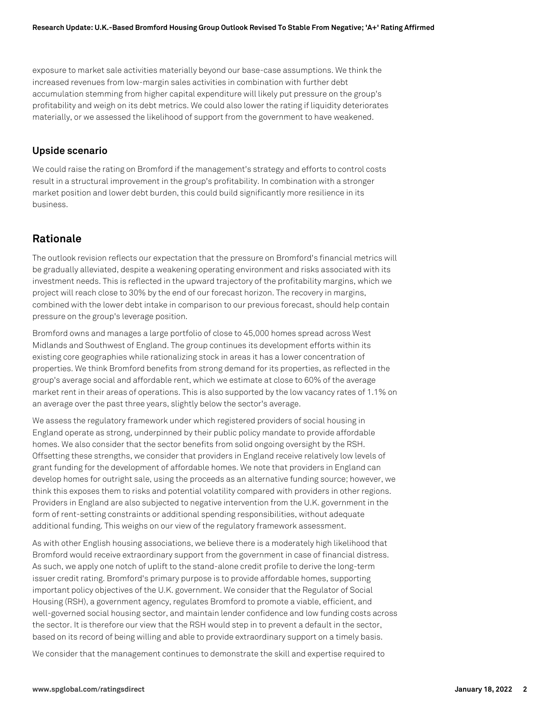exposure to market sale activities materially beyond our base-case assumptions. We think the increased revenues from low-margin sales activities in combination with further debt accumulation stemming from higher capital expenditure will likely put pressure on the group's profitability and weigh on its debt metrics. We could also lower the rating if liquidity deteriorates materially, or we assessed the likelihood of support from the government to have weakened.

#### **Upside scenario**

We could raise the rating on Bromford if the management's strategy and efforts to control costs result in a structural improvement in the group's profitability. In combination with a stronger market position and lower debt burden, this could build significantly more resilience in its business.

#### **Rationale**

The outlook revision reflects our expectation that the pressure on Bromford's financial metrics will be gradually alleviated, despite a weakening operating environment and risks associated with its investment needs. This is reflected in the upward trajectory of the profitability margins, which we project will reach close to 30% by the end of our forecast horizon. The recovery in margins, combined with the lower debt intake in comparison to our previous forecast, should help contain pressure on the group's leverage position.

Bromford owns and manages a large portfolio of close to 45,000 homes spread across West Midlands and Southwest of England. The group continues its development efforts within its existing core geographies while rationalizing stock in areas it has a lower concentration of properties. We think Bromford benefits from strong demand for its properties, as reflected in the group's average social and affordable rent, which we estimate at close to 60% of the average market rent in their areas of operations. This is also supported by the low vacancy rates of 1.1% on an average over the past three years, slightly below the sector's average.

We assess the regulatory framework under which registered providers of social housing in England operate as strong, underpinned by their public policy mandate to provide affordable homes. We also consider that the sector benefits from solid ongoing oversight by the RSH. Offsetting these strengths, we consider that providers in England receive relatively low levels of grant funding for the development of affordable homes. We note that providers in England can develop homes for outright sale, using the proceeds as an alternative funding source; however, we think this exposes them to risks and potential volatility compared with providers in other regions. Providers in England are also subjected to negative intervention from the U.K. government in the form of rent-setting constraints or additional spending responsibilities, without adequate additional funding. This weighs on our view of the regulatory framework assessment.

As with other English housing associations, we believe there is a moderately high likelihood that Bromford would receive extraordinary support from the government in case of financial distress. As such, we apply one notch of uplift to the stand-alone credit profile to derive the long-term issuer credit rating. Bromford's primary purpose is to provide affordable homes, supporting important policy objectives of the U.K. government. We consider that the Regulator of Social Housing (RSH), a government agency, regulates Bromford to promote a viable, efficient, and well-governed social housing sector, and maintain lender confidence and low funding costs across the sector. It is therefore our view that the RSH would step in to prevent a default in the sector, based on its record of being willing and able to provide extraordinary support on a timely basis.

We consider that the management continues to demonstrate the skill and expertise required to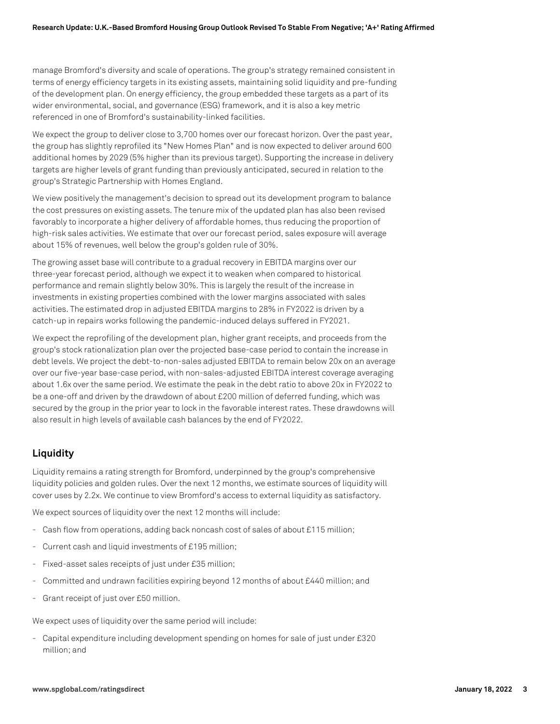manage Bromford's diversity and scale of operations. The group's strategy remained consistent in terms of energy efficiency targets in its existing assets, maintaining solid liquidity and pre-funding of the development plan. On energy efficiency, the group embedded these targets as a part of its wider environmental, social, and governance (ESG) framework, and it is also a key metric referenced in one of Bromford's sustainability-linked facilities.

We expect the group to deliver close to 3,700 homes over our forecast horizon. Over the past year, the group has slightly reprofiled its "New Homes Plan" and is now expected to deliver around 600 additional homes by 2029 (5% higher than its previous target). Supporting the increase in delivery targets are higher levels of grant funding than previously anticipated, secured in relation to the group's Strategic Partnership with Homes England.

We view positively the management's decision to spread out its development program to balance the cost pressures on existing assets. The tenure mix of the updated plan has also been revised favorably to incorporate a higher delivery of affordable homes, thus reducing the proportion of high-risk sales activities. We estimate that over our forecast period, sales exposure will average about 15% of revenues, well below the group's golden rule of 30%.

The growing asset base will contribute to a gradual recovery in EBITDA margins over our three-year forecast period, although we expect it to weaken when compared to historical performance and remain slightly below 30%. This is largely the result of the increase in investments in existing properties combined with the lower margins associated with sales activities. The estimated drop in adjusted EBITDA margins to 28% in FY2022 is driven by a catch-up in repairs works following the pandemic-induced delays suffered in FY2021.

We expect the reprofiling of the development plan, higher grant receipts, and proceeds from the group's stock rationalization plan over the projected base-case period to contain the increase in debt levels. We project the debt-to-non-sales adjusted EBITDA to remain below 20x on an average over our five-year base-case period, with non-sales-adjusted EBITDA interest coverage averaging about 1.6x over the same period. We estimate the peak in the debt ratio to above 20x in FY2022 to be a one-off and driven by the drawdown of about £200 million of deferred funding, which was secured by the group in the prior year to lock in the favorable interest rates. These drawdowns will also result in high levels of available cash balances by the end of FY2022.

#### **Liquidity**

Liquidity remains a rating strength for Bromford, underpinned by the group's comprehensive liquidity policies and golden rules. Over the next 12 months, we estimate sources of liquidity will cover uses by 2.2x. We continue to view Bromford's access to external liquidity as satisfactory.

We expect sources of liquidity over the next 12 months will include:

- Cash flow from operations, adding back noncash cost of sales of about £115 million;
- Current cash and liquid investments of £195 million;
- Fixed-asset sales receipts of just under £35 million;
- Committed and undrawn facilities expiring beyond 12 months of about £440 million; and
- Grant receipt of just over £50 million.

We expect uses of liquidity over the same period will include:

- Capital expenditure including development spending on homes for sale of just under £320 million; and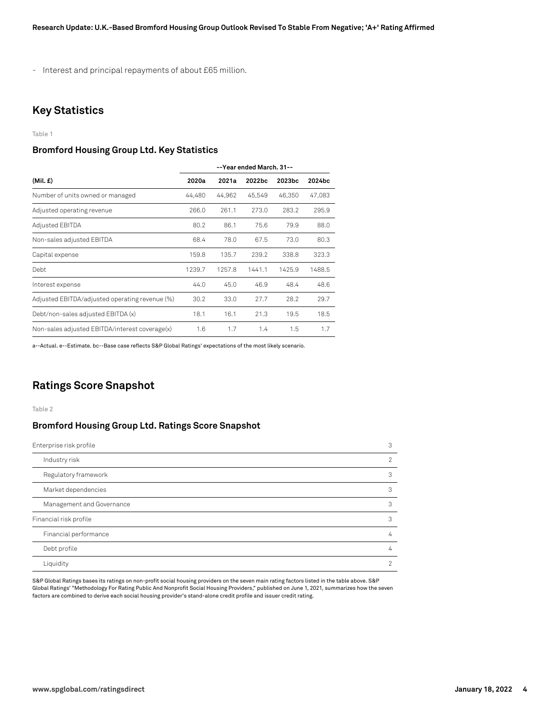- Interest and principal repayments of about £65 million.

## **Key Statistics**

Table 1

#### **Bromford Housing Group Ltd. Key Statistics**

|                                                | --Year ended March. 31-- |        |        |        |        |
|------------------------------------------------|--------------------------|--------|--------|--------|--------|
| (Mil. £)                                       | 2020a                    | 2021a  | 2022bc | 2023bc | 2024bc |
| Number of units owned or managed               | 44,480                   | 44,962 | 45,549 | 46,350 | 47,083 |
| Adjusted operating revenue                     | 266.0                    | 261.1  | 273.0  | 283.2  | 295.9  |
| Adjusted EBITDA                                | 80.2                     | 86.1   | 75.6   | 79.9   | 88.0   |
| Non-sales adjusted EBITDA                      | 68.4                     | 78.0   | 67.5   | 73.0   | 80.3   |
| Capital expense                                | 159.8                    | 135.7  | 239.2  | 338.8  | 323.3  |
| Debt                                           | 1239.7                   | 1257.8 | 1441.1 | 1425.9 | 1488.5 |
| Interest expense                               | 44.0                     | 45.0   | 46.9   | 48.4   | 48.6   |
| Adjusted EBITDA/adjusted operating revenue (%) | 30.2                     | 33.0   | 27.7   | 28.2   | 29.7   |
| Debt/non-sales adjusted EBITDA (x)             | 18.1                     | 16.1   | 21.3   | 19.5   | 18.5   |
| Non-sales adjusted EBITDA/interest coverage(x) | 1.6                      | 1.7    | 1.4    | 1.5    | 1.7    |

a--Actual. e--Estimate. bc--Base case reflects S&P Global Ratings' expectations of the most likely scenario.

#### **Ratings Score Snapshot**

Table 2

#### **Bromford Housing Group Ltd. Ratings Score Snapshot**

| Enterprise risk profile   | 3 |
|---------------------------|---|
| Industry risk             | 2 |
| Regulatory framework      | 3 |
| Market dependencies       | З |
| Management and Governance | 3 |
| Financial risk profile    | 3 |
| Financial performance     | 4 |
| Debt profile              | 4 |
| Liquidity                 |   |

S&P Global Ratings bases its ratings on non-profit social housing providers on the seven main rating factors listed in the table above. S&P Global Ratings' "Methodology For Rating Public And Nonprofit Social Housing Providers," published on June 1, 2021, summarizes how the seven factors are combined to derive each social housing provider's stand-alone credit profile and issuer credit rating.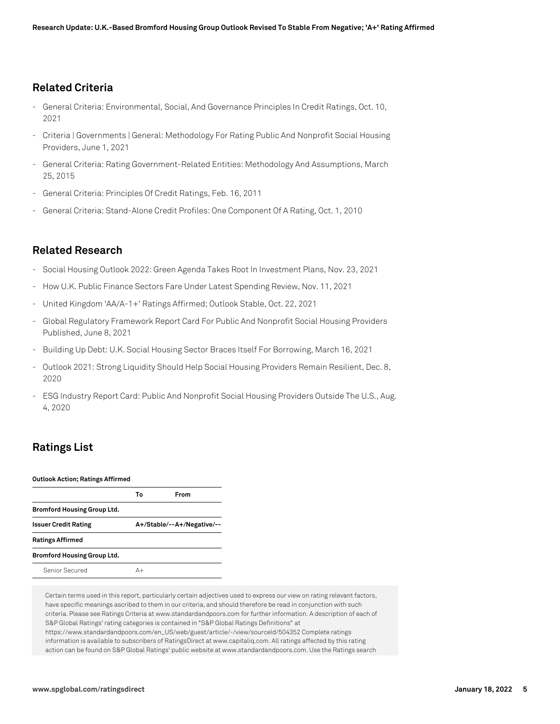### **Related Criteria**

- General Criteria: Environmental, Social, And Governance Principles In Credit Ratings, Oct. 10, 2021
- Criteria | Governments | General: Methodology For Rating Public And Nonprofit Social Housing Providers, June 1, 2021
- General Criteria: Rating Government-Related Entities: Methodology And Assumptions, March 25, 2015
- General Criteria: Principles Of Credit Ratings, Feb. 16, 2011
- General Criteria: Stand-Alone Credit Profiles: One Component Of A Rating, Oct. 1, 2010

#### **Related Research**

- Social Housing Outlook 2022: Green Agenda Takes Root In Investment Plans, Nov. 23, 2021
- How U.K. Public Finance Sectors Fare Under Latest Spending Review, Nov. 11, 2021
- United Kingdom 'AA/A-1+' Ratings Affirmed; Outlook Stable, Oct. 22, 2021
- Global Regulatory Framework Report Card For Public And Nonprofit Social Housing Providers Published, June 8, 2021
- Building Up Debt: U.K. Social Housing Sector Braces Itself For Borrowing, March 16, 2021
- Outlook 2021: Strong Liquidity Should Help Social Housing Providers Remain Resilient, Dec. 8, 2020
- ESG Industry Report Card: Public And Nonprofit Social Housing Providers Outside The U.S., Aug. 4, 2020

## **Ratings List**

#### **Outlook Action; Ratings Affirmed**

|                                    | То | From                       |
|------------------------------------|----|----------------------------|
| <b>Bromford Housing Group Ltd.</b> |    |                            |
| <b>Issuer Credit Rating</b>        |    | A+/Stable/--A+/Negative/-- |
| <b>Ratings Affirmed</b>            |    |                            |
| <b>Bromford Housing Group Ltd.</b> |    |                            |
| Senior Secured                     | A+ |                            |

Certain terms used in this report, particularly certain adjectives used to express our view on rating relevant factors, have specific meanings ascribed to them in our criteria, and should therefore be read in conjunction with such criteria. Please see Ratings Criteria at www.standardandpoors.com for further information. A description of each of S&P Global Ratings' rating categories is contained in "S&P Global Ratings Definitions" at https://www.standardandpoors.com/en\_US/web/guest/article/-/view/sourceId/504352 Complete ratings information is available to subscribers of RatingsDirect at www.capitaliq.com. All ratings affected by this rating action can be found on S&P Global Ratings' public website at www.standardandpoors.com. Use the Ratings search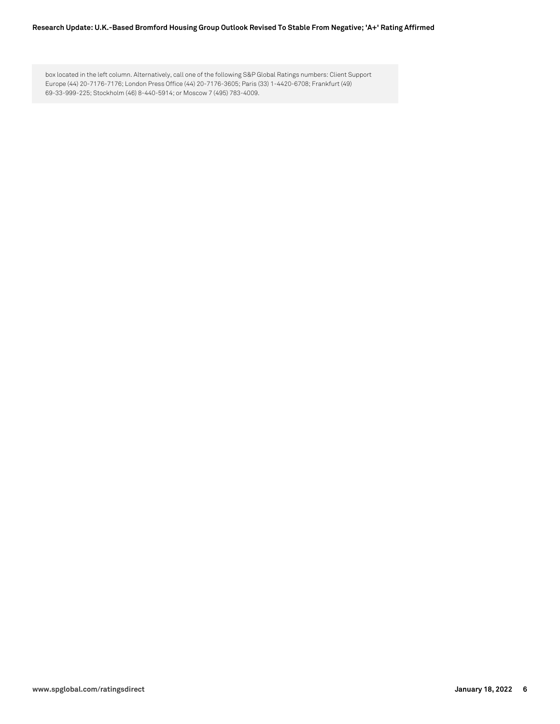#### **Research Update: U.K.-Based Bromford Housing Group Outlook Revised To Stable From Negative; 'A+' Rating Affirmed**

box located in the left column. Alternatively, call one of the following S&P Global Ratings numbers: Client Support Europe (44) 20-7176-7176; London Press Office (44) 20-7176-3605; Paris (33) 1-4420-6708; Frankfurt (49) 69-33-999-225; Stockholm (46) 8-440-5914; or Moscow 7 (495) 783-4009.